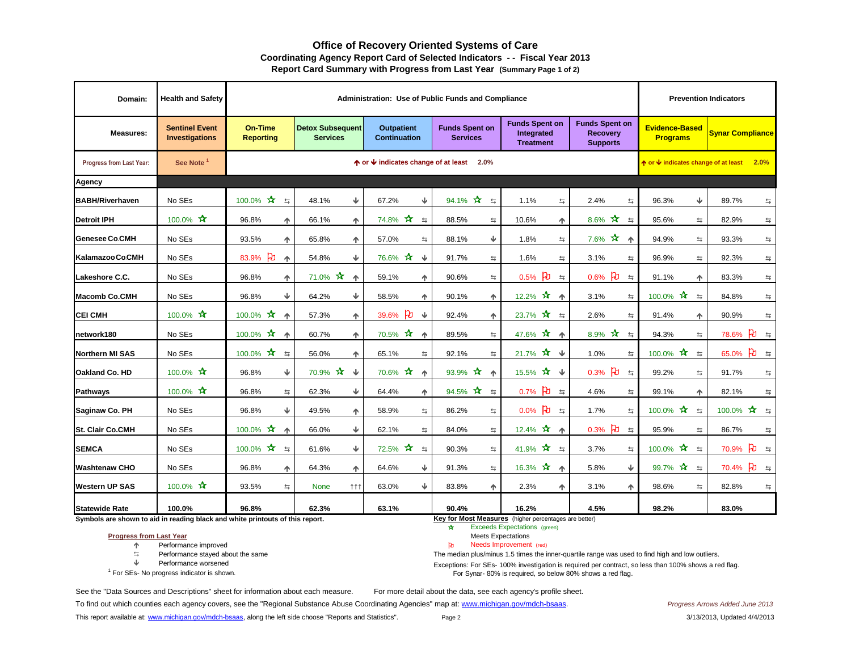## **Office of Recovery Oriented Systems of Care Coordinating Agency Report Card of Selected Indicators - - Fiscal Year 2013 Report Card Summary with Progress from Last Year (Summary Page 1 of 2)**

| Domain:                  | <b>Health and Safety</b>                |                                    |                                             |                                          | Administration: Use of Public Funds and Compliance |                                                         |                                                             |                                          | <b>Prevention Indicators</b> |
|--------------------------|-----------------------------------------|------------------------------------|---------------------------------------------|------------------------------------------|----------------------------------------------------|---------------------------------------------------------|-------------------------------------------------------------|------------------------------------------|------------------------------|
| <b>Measures:</b>         | <b>Sentinel Event</b><br>Investigations | <b>On-Time</b><br><b>Reporting</b> | <b>Detox Subsequent</b><br><b>Services</b>  | <b>Outpatient</b><br><b>Continuation</b> | <b>Funds Spent on</b><br><b>Services</b>           | <b>Funds Spent on</b><br>Integrated<br><b>Treatment</b> | <b>Funds Spent on</b><br><b>Recovery</b><br><b>Supports</b> | <b>Evidence-Based</b><br><b>Programs</b> | <b>Synar Compliance</b>      |
| Progress from Last Year: | See Note <sup>1</sup>                   |                                    |                                             | ↑ or ↓ indicates change of at least      | $2.0\%$                                            |                                                         |                                                             | ↑ or V indicates change of at least      | 2.0%                         |
| <b>Agency</b>            |                                         |                                    |                                             |                                          |                                                    |                                                         |                                                             |                                          |                              |
| <b>BABH/Riverhaven</b>   | No SEs                                  | 100.0% $*$<br>$\Rightarrow$        | Ψ<br>48.1%                                  | Ψ<br>67.2%                               | $\star$<br>94.1%<br>$\Rightarrow$                  | 1.1%<br>$\Rightarrow$                                   | 2.4%<br>与                                                   | Ψ<br>96.3%                               | 89.7%<br>与                   |
| <b>Detroit IPH</b>       | 100.0% *                                | 96.8%<br>个                         | 66.1%<br>个                                  | 74.8% *<br>$\Rightarrow$                 | 88.5%<br>与                                         | 10.6%<br>个                                              | 8.6% $*$<br>$\Rightarrow$                                   | 95.6%<br>与                               | 82.9%<br>与                   |
| <b>Genesee Co.CMH</b>    | No SEs                                  | 93.5%<br>不                         | 65.8%<br>个                                  | 57.0%<br>$\Rightarrow$                   | 88.1%<br>Ψ                                         | 1.8%<br>$\Rightarrow$                                   | $7.6\%$ $\star$<br>不                                        | 94.9%<br>$\leftrightarrows$              | 93.3%<br>$\leftrightarrows$  |
| Kalamazoo Co.CMH         | No SEs                                  | ਮਿ<br>83.9%<br>个                   | Ψ<br>54.8%                                  | 76.6% **<br>$\sqrt{2}$                   | 91.7%<br>$\Rightarrow$                             | 1.6%<br>$\Rightarrow$                                   | 3.1%<br>$\equiv$                                            | 96.9%<br>$\Rightarrow$                   | 92.3%<br>$\Rightarrow$       |
| Lakeshore C.C.           | No SEs                                  | 96.8%<br>个                         | 71.0% ☆<br>不                                | 59.1%<br>个                               | 90.6%<br>与                                         | $0.5%$ PU<br>$\Rightarrow$                              | $0.6%$ PU<br>$\Rightarrow$                                  | 91.1%<br>个                               | 83.3%<br>$\Rightarrow$       |
| <b>Macomb Co.CMH</b>     | No SEs                                  | Ψ<br>96.8%                         | ↓<br>64.2%                                  | 58.5%<br>个                               | 90.1%<br>个                                         | 12.2% $\star$<br>$\blacktriangle$                       | 3.1%<br>$\Rightarrow$                                       | 100.0% $*$<br>$\Rightarrow$              | 84.8%<br>$\leftrightarrows$  |
| <b>CEI CMH</b>           | 100.0% **                               | 100.0% **<br>不                     | 57.3%<br>不                                  | ਇ<br>$\overline{\mathbf{V}}$<br>39.6%    | 92.4%<br>个                                         | $23.7\% \times 77$ $\approx$                            | 2.6%<br>$\equiv$                                            | 91.4%<br>个                               | 90.9%<br>$\Rightarrow$       |
| network180               | No SEs                                  | 100.0% $*$<br>个                    | 60.7%<br>ተ                                  | 70.5% *<br>$\blacklozenge$               | 89.5%<br>$\Rightarrow$                             | 47.6% *<br>不                                            | 8.9% $*$<br>$\leftrightarrows$                              | 94.3%<br>$\leftrightarrows$              | ਇ<br>78.6%<br>$\Rightarrow$  |
| <b>Northern MI SAS</b>   | No SEs                                  | 100.0% $\star$<br>$\Rightarrow$    | 56.0%<br>不                                  | 65.1%<br>$\Rightarrow$                   | 92.1%<br>$\Rightarrow$                             | 21.7% ☆ ↓                                               | 1.0%<br>$\Rightarrow$                                       | 100.0% $*$<br>$\Rightarrow$              | $\beta$ =<br>65.0%           |
| Oakland Co. HD           | 100.0% ☆                                | ♦<br>96.8%                         | $\star$<br>$\overline{\mathbf{v}}$<br>70.9% | 70.6% **<br>不                            | 93.9% $*$<br>$\triangle$                           | 15.5% ☆ ↓                                               | ਮਿ<br>0.3%<br>$\leftrightarrows$                            | 99.2%<br>$\Rightarrow$                   | 91.7%<br>与                   |
| <b>Pathways</b>          | 100.0% **                               | 96.8%<br>$\Rightarrow$             | ↓<br>62.3%                                  | 64.4%<br>不                               | 94.5% $*$<br>$\Rightarrow$                         | $0.7\%$ 2 $\pm$                                         | 4.6%<br>$\Rightarrow$                                       | 99.1%<br>不                               | 82.1%<br>$\Rightarrow$       |
| Saginaw Co. PH           | No SEs                                  | Ψ<br>96.8%                         | 49.5%<br>个                                  | 58.9%<br>与                               | 86.2%<br>与                                         | $0.0\%$ 凡<br>$\equiv$                                   | 1.7%<br>与                                                   | 100.0% $*$<br>$\Rightarrow$              | $100.0\%$ $\star$ $\approx$  |
| St. Clair Co.CMH         | No SEs                                  | 100.0% $*$<br>个                    | Ψ<br>66.0%                                  | 62.1%<br>$\Rightarrow$                   | 84.0%<br>与。                                        | 12.4% $\star$<br>不                                      | ਮਿ<br>0.3%<br>$\Rightarrow$                                 | 95.9%<br>$\Rightarrow$                   | 86.7%<br>$\Rightarrow$       |
| <b>SEMCA</b>             | No SEs                                  | 100.0% $\star$<br>$\Rightarrow$    | ₩<br>61.6%                                  | 72.5% ☆<br>$\Rightarrow$                 | 90.3%<br>$\Rightarrow$                             | 41.9% $\hat{X}$ $\approx$                               | 3.7%<br>$\leftrightarrows$                                  | 100.0% $*$<br>$\Rightarrow$              | $\beta$ =<br>70.9%           |
| <b>Washtenaw CHO</b>     | No SEs                                  | 96.8%<br>不                         | 64.3%<br>个                                  | Ψ<br>64.6%                               | 91.3%<br>与                                         | 16.3% *<br>不                                            | Ψ<br>5.8%                                                   | 99.7% *<br>$\Rightarrow$                 | $70.4\%$ 2 $\pm$             |
| <b>Western UP SAS</b>    | 100.0% **                               | 93.5%<br>$\Rightarrow$             | <b>None</b><br>111                          | 63.0%<br>Ψ                               | 83.8%<br>个                                         | 2.3%<br>个                                               | 3.1%<br>个                                                   | 98.6%<br>$\Rightarrow$                   | 82.8%<br>与                   |
| <b>Statewide Rate</b>    | 100.0%                                  | 96.8%                              | 62.3%                                       | 63.1%                                    | 90.4%                                              | 16.2%                                                   | 4.5%                                                        | 98.2%                                    | 83.0%                        |

**Symbols are shown to aid in reading black and white printouts of this report. Key for Most Measures** (higher percentages are better)

## **Progress from Last Year**

- 个 Performance improved **D** Needs Improved **D** Needs Improved **D** Needs Improved **D** Needs Improved **D** Needs Improved **D** Needs Improved **D** Needs Improved **D** Needs Improved **D** Needs Improved **D** Needs Improved **D** Need
- 
- Performance worsened
- $<sup>1</sup>$  For SEs- No progress indicator is shown.</sup>

- Exceeds Expectations (green)
- Meets Expectations<br>Needs Improvement (red)
- 
- Derformance stayed about the same<br>  $\downarrow$  Performance worsened<br>
Performance worsened<br>
Performance worsened

Exceptions: For SEs- 100% investigation is required per contract, so less than 100% shows a red flag. For Synar- 80% is required, so below 80% shows a red flag.

See the "Data Sources and Descriptions" sheet for information about each measure. For more detail about the data, see each agency's profile sheet.

[To find out which counties each agency covers, see the "Regional Substance Abuse Coordinating Agencies" map at: www.michigan.gov/mdch-bsaas.](http://www.michigan.gov/documents/SA_CA_Contact_List_150817_7.pdf) *Progress Arrows Added June 2013*

[This report available at: www.michigan.gov/mdch-bsaas, along the left side choose "Reports and Statistics".](http://www.michigan.gov/mdch-bsaas) Page 2 3/13/2013 and Statistics and Statistics".